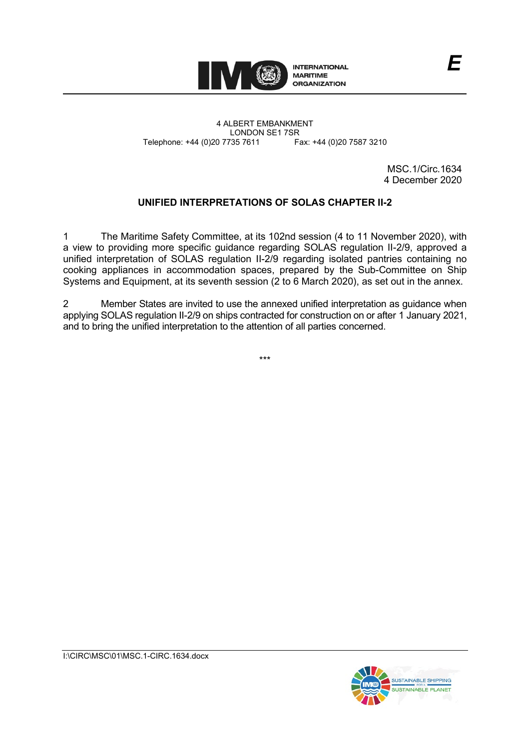

4 ALBERT EMBANKMENT Telephone: +44 (0)20 7735 7611

LONDON SE1 7SR<br>735 7611 Fax: +44 (0)20 7587 3210

MSC.1/Circ.1634 4 December 2020

*E*

## **UNIFIED INTERPRETATIONS OF SOLAS CHAPTER II-2**

1 The Maritime Safety Committee, at its 102nd session (4 to 11 November 2020), with a view to providing more specific guidance regarding SOLAS regulation II-2/9, approved a unified interpretation of SOLAS regulation II-2/9 regarding isolated pantries containing no cooking appliances in accommodation spaces, prepared by the Sub-Committee on Ship Systems and Equipment, at its seventh session (2 to 6 March 2020), as set out in the annex.

2 Member States are invited to use the annexed unified interpretation as guidance when applying SOLAS regulation II-2/9 on ships contracted for construction on or after 1 January 2021, and to bring the unified interpretation to the attention of all parties concerned.

\*\*\*